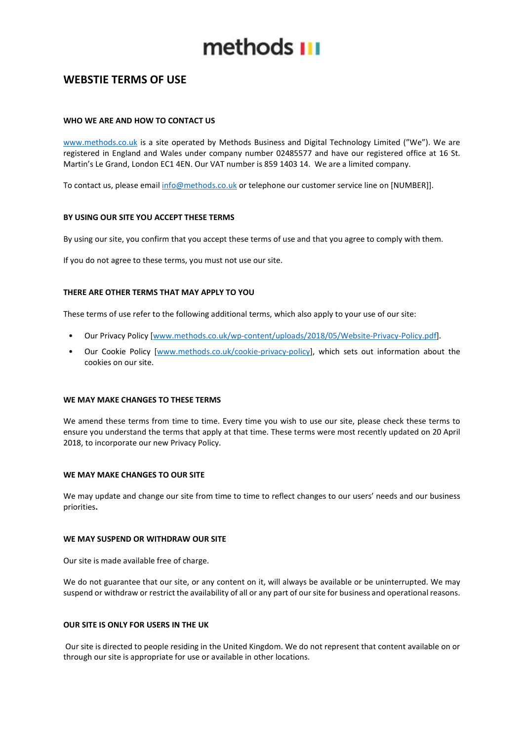# WEBSTIE TERMS OF USE

### WHO WE ARE AND HOW TO CONTACT US

www.methods.co.uk is a site operated by Methods Business and Digital Technology Limited ("We"). We are registered in England and Wales under company number 02485577 and have our registered office at 16 St. Martin's Le Grand, London EC1 4EN. Our VAT number is 859 1403 14. We are a limited company.

To contact us, please email info@methods.co.uk or telephone our customer service line on [NUMBER]].

### BY USING OUR SITE YOU ACCEPT THESE TERMS

By using our site, you confirm that you accept these terms of use and that you agree to comply with them.

If you do not agree to these terms, you must not use our site.

### THERE ARE OTHER TERMS THAT MAY APPLY TO YOU

These terms of use refer to the following additional terms, which also apply to your use of our site:

- Our Privacy Policy [www.methods.co.uk/wp-content/uploads/2018/05/Website-Privacy-Policy.pdf].
- Our Cookie Policy [www.methods.co.uk/cookie-privacy-policy], which sets out information about the cookies on our site.

### WE MAY MAKE CHANGES TO THESE TERMS

We amend these terms from time to time. Every time you wish to use our site, please check these terms to ensure you understand the terms that apply at that time. These terms were most recently updated on 20 April 2018, to incorporate our new Privacy Policy.

### WE MAY MAKE CHANGES TO OUR SITE

We may update and change our site from time to time to reflect changes to our users' needs and our business priorities.

### WE MAY SUSPEND OR WITHDRAW OUR SITE

Our site is made available free of charge.

We do not guarantee that our site, or any content on it, will always be available or be uninterrupted. We may suspend or withdraw or restrict the availability of all or any part of our site for business and operational reasons.

### OUR SITE IS ONLY FOR USERS IN THE UK

 Our site is directed to people residing in the United Kingdom. We do not represent that content available on or through our site is appropriate for use or available in other locations.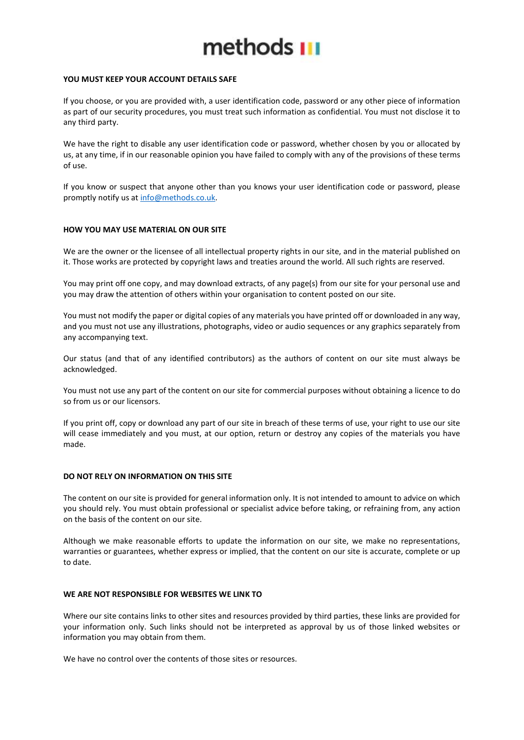### YOU MUST KEEP YOUR ACCOUNT DETAILS SAFE

If you choose, or you are provided with, a user identification code, password or any other piece of information as part of our security procedures, you must treat such information as confidential. You must not disclose it to any third party.

We have the right to disable any user identification code or password, whether chosen by you or allocated by us, at any time, if in our reasonable opinion you have failed to comply with any of the provisions of these terms of use.

If you know or suspect that anyone other than you knows your user identification code or password, please promptly notify us at info@methods.co.uk.

### HOW YOU MAY USE MATERIAL ON OUR SITE

We are the owner or the licensee of all intellectual property rights in our site, and in the material published on it. Those works are protected by copyright laws and treaties around the world. All such rights are reserved.

You may print off one copy, and may download extracts, of any page(s) from our site for your personal use and you may draw the attention of others within your organisation to content posted on our site.

You must not modify the paper or digital copies of any materials you have printed off or downloaded in any way, and you must not use any illustrations, photographs, video or audio sequences or any graphics separately from any accompanying text.

Our status (and that of any identified contributors) as the authors of content on our site must always be acknowledged.

You must not use any part of the content on our site for commercial purposes without obtaining a licence to do so from us or our licensors.

If you print off, copy or download any part of our site in breach of these terms of use, your right to use our site will cease immediately and you must, at our option, return or destroy any copies of the materials you have made.

### DO NOT RELY ON INFORMATION ON THIS SITE

The content on our site is provided for general information only. It is not intended to amount to advice on which you should rely. You must obtain professional or specialist advice before taking, or refraining from, any action on the basis of the content on our site.

Although we make reasonable efforts to update the information on our site, we make no representations, warranties or guarantees, whether express or implied, that the content on our site is accurate, complete or up to date.

### WE ARE NOT RESPONSIBLE FOR WEBSITES WE LINK TO

Where our site contains links to other sites and resources provided by third parties, these links are provided for your information only. Such links should not be interpreted as approval by us of those linked websites or information you may obtain from them.

We have no control over the contents of those sites or resources.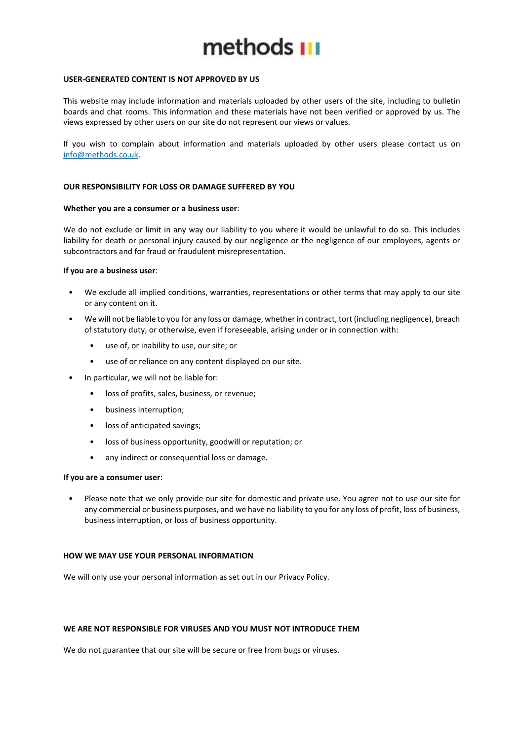### USER-GENERATED CONTENT IS NOT APPROVED BY US

This website may include information and materials uploaded by other users of the site, including to bulletin boards and chat rooms. This information and these materials have not been verified or approved by us. The views expressed by other users on our site do not represent our views or values.

If you wish to complain about information and materials uploaded by other users please contact us on info@methods.co.uk.

### OUR RESPONSIBILITY FOR LOSS OR DAMAGE SUFFERED BY YOU

### Whether you are a consumer or a business user:

We do not exclude or limit in any way our liability to you where it would be unlawful to do so. This includes liability for death or personal injury caused by our negligence or the negligence of our employees, agents or subcontractors and for fraud or fraudulent misrepresentation.

### If you are a business user:

- We exclude all implied conditions, warranties, representations or other terms that may apply to our site or any content on it.
- We will not be liable to you for any loss or damage, whether in contract, tort (including negligence), breach of statutory duty, or otherwise, even if foreseeable, arising under or in connection with:
	- use of, or inability to use, our site; or
	- use of or reliance on any content displayed on our site.
- In particular, we will not be liable for:
	- loss of profits, sales, business, or revenue;
	- business interruption;
	- loss of anticipated savings;
	- loss of business opportunity, goodwill or reputation; or
	- any indirect or consequential loss or damage.

## If you are a consumer user:

• Please note that we only provide our site for domestic and private use. You agree not to use our site for any commercial or business purposes, and we have no liability to you for any loss of profit, loss of business, business interruption, or loss of business opportunity.

## HOW WE MAY USE YOUR PERSONAL INFORMATION

We will only use your personal information as set out in our Privacy Policy.

## WE ARE NOT RESPONSIBLE FOR VIRUSES AND YOU MUST NOT INTRODUCE THEM

We do not guarantee that our site will be secure or free from bugs or viruses.